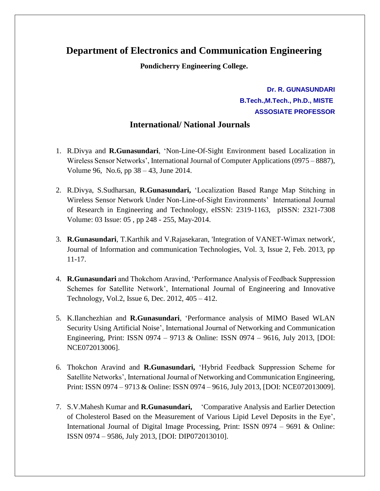## **Department of Electronics and Communication Engineering**

**Pondicherry Engineering College.**

**Dr. R. GUNASUNDARI B.Tech.,M.Tech., Ph.D., MISTE ASSOSIATE PROFESSOR**

## **International/ National Journals**

- 1. R.Divya and **R.Gunasundari**, 'Non-Line-Of-Sight Environment based Localization in Wireless Sensor Networks', International Journal of Computer Applications (0975 – 8887), Volume 96, No.6, pp 38 – 43, June 2014.
- 2. R.Divya, S.Sudharsan, **R.Gunasundari,** 'Localization Based Range Map Stitching in Wireless Sensor Network Under Non-Line-of-Sight Environments' International Journal of Research in Engineering and Technology, eISSN: 2319-1163, pISSN: 2321-7308 Volume: 03 Issue: 05 , pp 248 - 255, May-2014.
- 3. **R.Gunasundari**, T.Karthik and V.Rajasekaran, 'Integration of VANET-Wimax network', Journal of Information and communication Technologies, Vol. 3, Issue 2, Feb. 2013, pp 11-17.
- 4. **R.Gunasundari** and Thokchom Aravind, 'Performance Analysis of Feedback Suppression Schemes for Satellite Network', International Journal of Engineering and Innovative Technology, Vol.2, Issue 6, Dec. 2012, 405 – 412.
- 5. K.Ilanchezhian and **R.Gunasundari**, 'Performance analysis of MIMO Based WLAN Security Using Artificial Noise', International Journal of Networking and Communication Engineering, Print: ISSN 0974 – 9713 & Online: ISSN 0974 – 9616, July 2013, [DOI: NCE072013006].
- 6. Thokchon Aravind and **R.Gunasundari,** 'Hybrid Feedback Suppression Scheme for Satellite Networks', International Journal of Networking and Communication Engineering, Print: ISSN 0974 – 9713 & Online: ISSN 0974 – 9616, July 2013, [DOI: NCE072013009].
- 7. S.V.Mahesh Kumar and **R.Gunasundari,** 'Comparative Analysis and Earlier Detection of Cholesterol Based on the Measurement of Various Lipid Level Deposits in the Eye', International Journal of Digital Image Processing, Print: ISSN 0974 – 9691 & Online: ISSN 0974 – 9586, July 2013, [DOI: DIP072013010].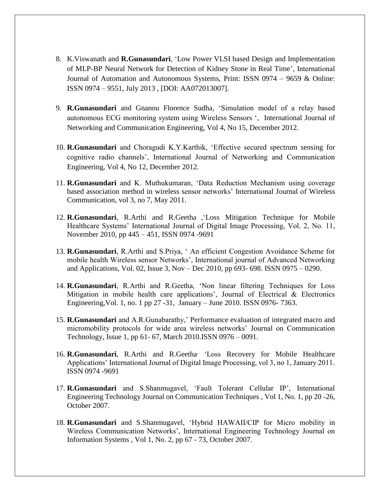- 8. K.Viswanath and **R.Gunasundari**, 'Low Power VLSI based Design and Implementation of MLP-BP Neural Network for Detection of Kidney Stone in Real Time', International Journal of Automation and Autonomous Systems, Print: ISSN 0974 – 9659 & Online: ISSN 0974 – 9551, July 2013 , [DOI: AA072013007].
- 9. **R.Gunasundari** and Gnanou Florence Sudha, 'Simulation model of a relay based autonomous ECG monitoring system using Wireless Sensors ', International Journal of Networking and Communication Engineering, Vol 4, No 15, December 2012.
- 10. **R.Gunasundari** and Choragudi K.Y.Karthik, 'Effective secured spectrum sensing for cognitive radio channels', International Journal of Networking and Communication Engineering, Vol 4, No 12, December 2012.
- 11. **R.Gunasundari** and K. Muthukumaran, 'Data Reduction Mechanism using coverage based association method in wireless sensor networks' International Journal of Wireless Communication, vol 3, no 7, May 2011.
- 12. **R.Gunasundari**, R.Arthi and R.Geetha ,'Loss Mitigation Technique for Mobile Healthcare Systems' International Journal of Digital Image Processing, Vol. 2, No. 11, November 2010, pp 445 – 451, ISSN 0974 -9691
- 13. **R.Gunasundari**, R.Arthi and S.Priya, ' An efficient Congestion Avoidance Scheme for mobile health Wireless sensor Networks', International journal of Advanced Networking and Applications, Vol. 02, Issue 3, Nov – Dec 2010, pp 693- 698. ISSN 0975 – 0290.
- 14. **R.Gunasundari**, R.Arthi and R.Geetha, 'Non linear filtering Techniques for Loss Mitigation in mobile health care applications', Journal of Electrical  $\&$  Electronics Engineering,Vol. 1, no. 1 pp 27 -31, January – June 2010. ISSN 0976- 7363.
- 15. **R.Gunasundari** and A.R.Gunabarathy,' Performance evaluation of integrated macro and micromobility protocols for wide area wireless networks' Journal on Communication Technology, Issue 1, pp 61- 67, March 2010.ISSN 0976 – 0091.
- 16. **R.Gunasundari**, R.Arthi and R.Geetha, 'Loss Recovery for Mobile Healthcare Applications' International Journal of Digital Image Processing, vol 3, no 1, January 2011. ISSN 0974 -9691
- 17. **R.Gunasundari** and S.Shanmugavel, 'Fault Tolerant Cellular IP', International Engineering Technology Journal on Communication Techniques , Vol 1, No. 1, pp 20 -26, October 2007.
- 18. **R.Gunasundari** and S.Shanmugavel, 'Hybrid HAWAII/CIP for Micro mobility in Wireless Communication Networks', International Engineering Technology Journal on Information Systems , Vol 1, No. 2, pp 67 - 73, October 2007.